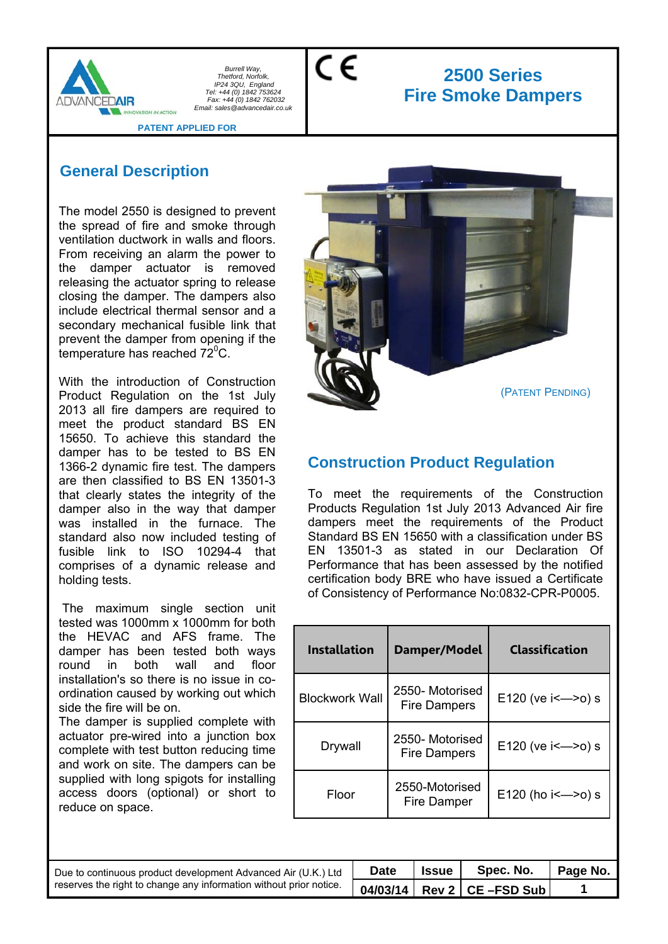

CE

# **2500 Series Fire Smoke Dampers**

#### **PATENT APPLIED FOR**

## **General Description**

The model 2550 is designed to prevent the spread of fire and smoke through ventilation ductwork in walls and floors. From receiving an alarm the power to the damper actuator is removed releasing the actuator spring to release closing the damper. The dampers also include electrical thermal sensor and a secondary mechanical fusible link that prevent the damper from opening if the temperature has reached  $72^{\circ}$ C.

With the introduction of Construction Product Regulation on the 1st July 2013 all fire dampers are required to meet the product standard BS EN 15650. To achieve this standard the damper has to be tested to BS EN 1366-2 dynamic fire test. The dampers are then classified to BS EN 13501-3 that clearly states the integrity of the damper also in the way that damper was installed in the furnace. The standard also now included testing of fusible link to ISO 10294-4 that comprises of a dynamic release and holding tests.

 The maximum single section unit tested was 1000mm x 1000mm for both the HEVAC and AFS frame. The damper has been tested both ways round in both wall and floor installation's so there is no issue in coordination caused by working out which side the fire will be on.

The damper is supplied complete with actuator pre-wired into a junction box complete with test button reducing time and work on site. The dampers can be supplied with long spigots for installing access doors (optional) or short to reduce on space.



## **Construction Product Regulation**

To meet the requirements of the Construction Products Regulation 1st July 2013 Advanced Air fire dampers meet the requirements of the Product Standard BS EN 15650 with a classification under BS EN 13501-3 as stated in our Declaration Of Performance that has been assessed by the notified certification body BRE who have issued a Certificate of Consistency of Performance No:0832-CPR-P0005.

| <b>Installation</b>   | Damper/Model                           | <b>Classification</b>    |
|-----------------------|----------------------------------------|--------------------------|
| <b>Blockwork Wall</b> | 2550- Motorised<br><b>Fire Dampers</b> | E120 (ve i <- > 0) s     |
| Drywall               | 2550-Motorised<br><b>Fire Dampers</b>  | E120 (ve $i \le -20$ ) s |
| Floor                 | 2550-Motorised<br>Fire Damper          | E120 (ho $i \le -20$ ) s |

| Due to continuous product development Advanced Air (U.K.) Ltd      | <b>Date</b> | <b>Issue</b> | Spec. No.                    | Page No. |
|--------------------------------------------------------------------|-------------|--------------|------------------------------|----------|
| reserves the right to change any information without prior notice. |             |              | $04/03/14$ Rev 2 CE -FSD Sub |          |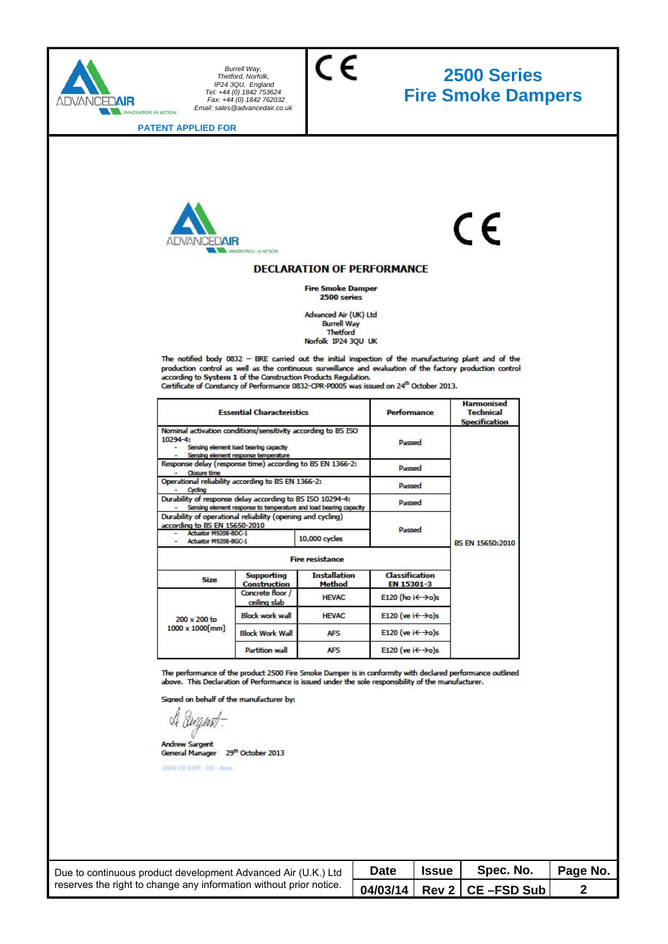

# **2500 Series Fire Smoke Dampers**

**PATENT APPLIED FOR** 



# $\epsilon$

#### **DECLARATION OF PERFORMANCE**

 $\epsilon$ 

**Fire Smoke Damper**  $2500$  series

Advanced Air (UK) Ltd **Burrell Way Thetford** Norfolk IP24 3QU UK

The notified body 0832 - BRE carried out the initial inspection of the manufacturing plant and of the production control as well as the continuous surveillance and evaluation of the factory production control<br>according to System 1 of the Construction Products Regulation. Certificate of Constancy of Performance 0832-CPR-P0005 was issued on 24<sup>th</sup> October 2013.

|                                                                                                                                                   | <b>Essential Characteristics</b>                                                                                                               |                               | Performance                              | <b>Harmonised</b><br><b>Technical</b><br><b>Specification</b> |  |                  |
|---------------------------------------------------------------------------------------------------------------------------------------------------|------------------------------------------------------------------------------------------------------------------------------------------------|-------------------------------|------------------------------------------|---------------------------------------------------------------|--|------------------|
| 10294-4:                                                                                                                                          | Nominal activation conditions/sensitivity according to BS ISO<br>Sensing element load bearing capacity<br>Sensing element response temperature |                               | Passed                                   |                                                               |  |                  |
| Response delay (response time) according to BS EN 1366-2:<br><b>Closure time</b><br>Operational reliability according to BS EN 1366-2:<br>Cycling |                                                                                                                                                | Passed                        |                                          |                                                               |  |                  |
|                                                                                                                                                   |                                                                                                                                                | Passed                        |                                          |                                                               |  |                  |
| Durability of response delay according to BS ISO 10294-4:<br>Sensing element response to temperature and load bearing capacity                    |                                                                                                                                                |                               | Passed                                   |                                                               |  |                  |
| Durability of operational reliability (opening and cycling)<br>according to BS EN 15650-2010                                                      |                                                                                                                                                |                               | Passed                                   |                                                               |  |                  |
|                                                                                                                                                   | Actuator M9208-BDC-1<br>Actuator M9208-BGC-1                                                                                                   |                               | 10,000 cycles                            |                                                               |  | BS EN 15650:2010 |
|                                                                                                                                                   |                                                                                                                                                | <b>Fire resistance</b>        |                                          |                                                               |  |                  |
| Size                                                                                                                                              | <b>Supporting</b><br><b>Construction</b>                                                                                                       | <b>Installation</b><br>Method | <b>Classification</b><br>EN 15301-3      |                                                               |  |                  |
|                                                                                                                                                   | Concrete floor /<br>ceiling slab                                                                                                               | <b>HEVAC</b>                  | E120 (ho i $\leftrightarrow$ o)s         |                                                               |  |                  |
| 200 x 200 to                                                                                                                                      | <b>Block work wall</b>                                                                                                                         | <b>HEVAC</b>                  | E120 (ve $i \leftarrow \rightarrow o$ )s |                                                               |  |                  |
| $1000 \times 1000$ mm                                                                                                                             | <b>Block Work Wall</b>                                                                                                                         | AF <sub>5</sub>               | E120 (ve $i \leftarrow \rightarrow o$ )s |                                                               |  |                  |
|                                                                                                                                                   | Partition wall                                                                                                                                 | AFS                           | E120 (ve $i \leftarrow \rightarrow o$ )s |                                                               |  |                  |

The performance of the product 2500 Fire Smoke Damper is in conformity with declared performance outlined<br>above. This Declaration of Performance is issued under the sole responsibility of the manufacturer.

Signed on behalf of the manufacturer by:

A *Sugnst*-

Andrew Sargent<br>General Manager 29<sup>th</sup> October 2013

2500 CE DOP - 00 - New

| Due to continuous product development Advanced Air (U.K.) Ltd      | <b>Date</b> | <b>Issue</b> | Spec. No.                       | Page No. |
|--------------------------------------------------------------------|-------------|--------------|---------------------------------|----------|
| reserves the right to change any information without prior notice. |             |              | 04/03/14   Rev 2   CE - FSD Sub |          |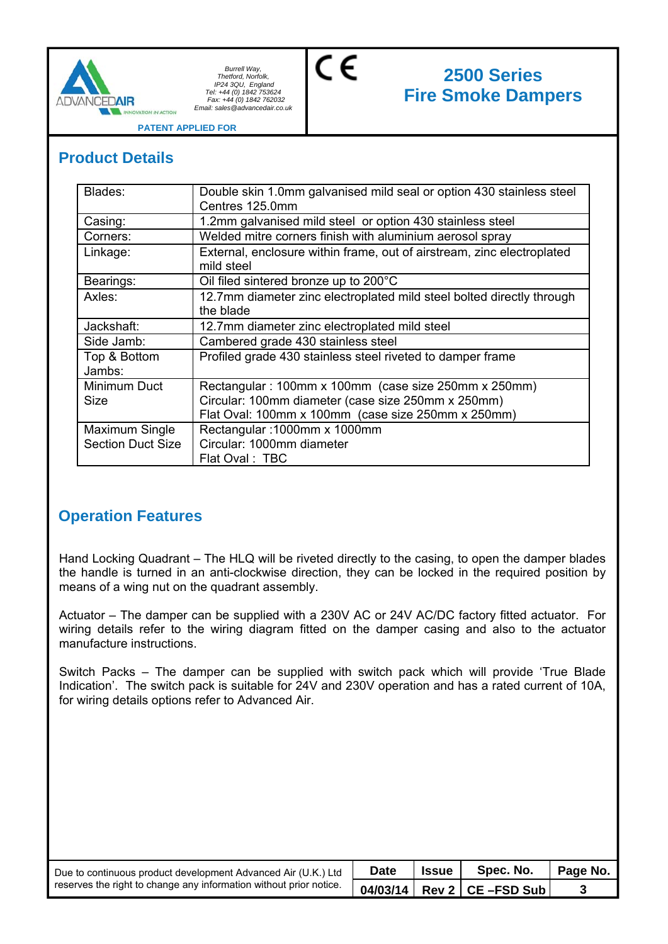

# **2500 Series Fire Smoke Dampers**

**PATENT APPLIED FOR** 

**MUM ACTION** 

## **Product Details**

| Blades:                  | Double skin 1.0mm galvanised mild seal or option 430 stainless steel<br>Centres 125.0mm |
|--------------------------|-----------------------------------------------------------------------------------------|
| Casing:                  | 1.2mm galvanised mild steel or option 430 stainless steel                               |
| Corners:                 | Welded mitre corners finish with aluminium aerosol spray                                |
| Linkage:                 | External, enclosure within frame, out of airstream, zinc electroplated<br>mild steel    |
| Bearings:                | Oil filed sintered bronze up to 200°C                                                   |
| Axles:                   | 12.7mm diameter zinc electroplated mild steel bolted directly through<br>the blade      |
| Jackshaft:               | 12.7mm diameter zinc electroplated mild steel                                           |
| Side Jamb:               | Cambered grade 430 stainless steel                                                      |
| Top & Bottom<br>Jambs:   | Profiled grade 430 stainless steel riveted to damper frame                              |
| Minimum Duct             | Rectangular: 100mm x 100mm (case size 250mm x 250mm)                                    |
| Size                     | Circular: 100mm diameter (case size 250mm x 250mm)                                      |
|                          | Flat Oval: 100mm x 100mm (case size 250mm x 250mm)                                      |
| Maximum Single           | Rectangular: 1000mm x 1000mm                                                            |
| <b>Section Duct Size</b> | Circular: 1000mm diameter                                                               |
|                          | Flat Oval: TBC                                                                          |

C€

## **Operation Features**

Hand Locking Quadrant – The HLQ will be riveted directly to the casing, to open the damper blades the handle is turned in an anti-clockwise direction, they can be locked in the required position by means of a wing nut on the quadrant assembly.

Actuator – The damper can be supplied with a 230V AC or 24V AC/DC factory fitted actuator. For wiring details refer to the wiring diagram fitted on the damper casing and also to the actuator manufacture instructions.

Switch Packs – The damper can be supplied with switch pack which will provide 'True Blade Indication'. The switch pack is suitable for 24V and 230V operation and has a rated current of 10A, for wiring details options refer to Advanced Air.

| Due to continuous product development Advanced Air (U.K.) Ltd<br>reserves the right to change any information without prior notice. | <b>Date</b> | <b>Issue</b> I | Spec. No.                       | Page No. |
|-------------------------------------------------------------------------------------------------------------------------------------|-------------|----------------|---------------------------------|----------|
|                                                                                                                                     |             |                | 04/03/14   Rev 2   CE - FSD Sub |          |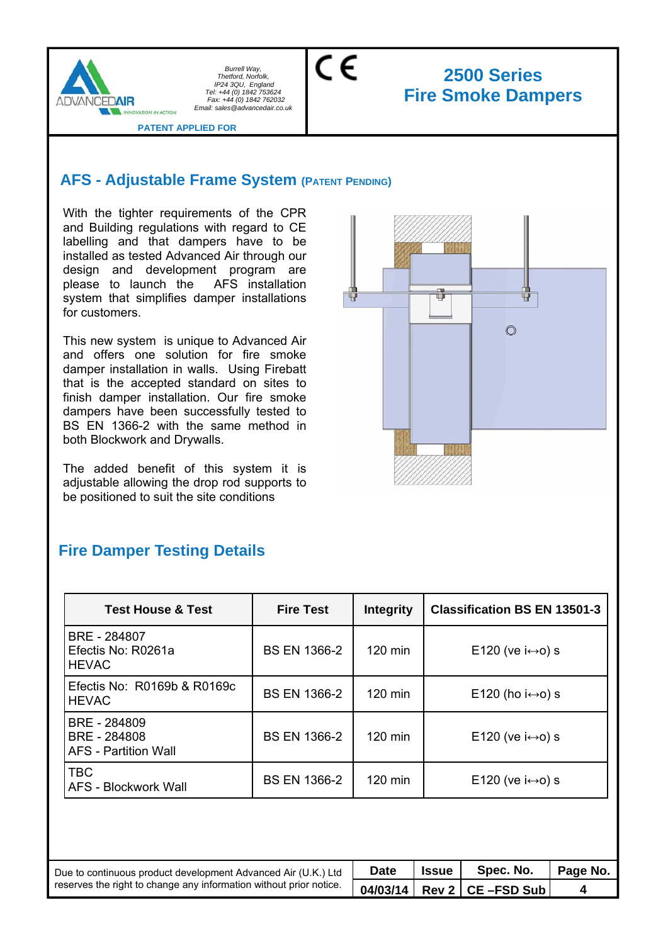

C€

# **2500 Series Fire Smoke Dampers**

**PATENT APPLIED FOR** 

**NUMBER** 

## **AFS - Adjustable Frame System (PATENT PENDING)**

With the tighter requirements of the CPR and Building regulations with regard to CE labelling and that dampers have to be installed as tested Advanced Air through our design and development program are please to launch the AFS installation system that simplifies damper installations for customers.

This new system is unique to Advanced Air and offers one solution for fire smoke damper installation in walls. Using Firebatt that is the accepted standard on sites to finish damper installation. Our fire smoke dampers have been successfully tested to BS EN 1366-2 with the same method in both Blockwork and Drywalls.

The added benefit of this system it is adjustable allowing the drop rod supports to be positioned to suit the site conditions



## **Fire Damper Testing Details**

| <b>Test House &amp; Test</b>                                | <b>Fire Test</b>    | <b>Integrity</b>  | <b>Classification BS EN 13501-3</b> |
|-------------------------------------------------------------|---------------------|-------------------|-------------------------------------|
| BRE - 284807<br>Efectis No: R0261a<br><b>HEVAC</b>          | <b>BS EN 1366-2</b> | $120$ min         | E120 (ve $i \leftrightarrow o$ ) s  |
| Efectis No: R0169b & R0169c<br><b>HEVAC</b>                 | BS EN 1366-2        | $120 \text{ min}$ | E120 (ho $i \leftrightarrow o$ ) s  |
| BRE - 284809<br>BRE - 284808<br><b>AFS</b> - Partition Wall | <b>BS EN 1366-2</b> | 120 min           | E120 (ve $i \leftrightarrow o$ ) s  |
| <b>TBC</b><br><b>AFS - Blockwork Wall</b>                   | <b>BS EN 1366-2</b> | 120 min           | E120 (ve $i \leftrightarrow o$ ) s  |

| Due to continuous product development Advanced Air (U.K.) Ltd      | <b>Date</b> | <b>Issue</b> I | Spec. No.                    | Page No. |
|--------------------------------------------------------------------|-------------|----------------|------------------------------|----------|
| reserves the right to change any information without prior notice. |             |                | $04/03/14$ Rev 2 CE -FSD Sub |          |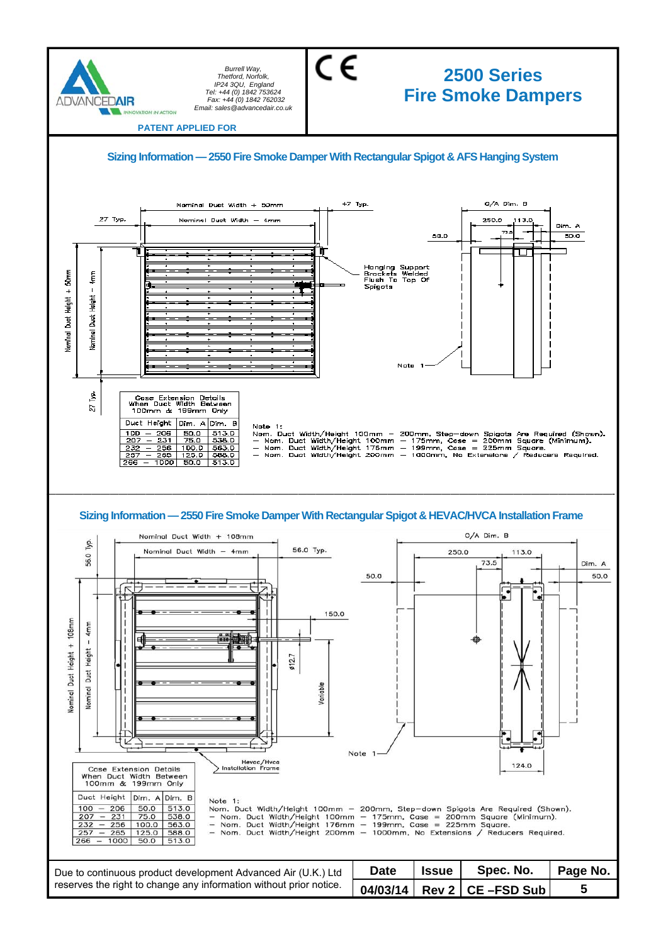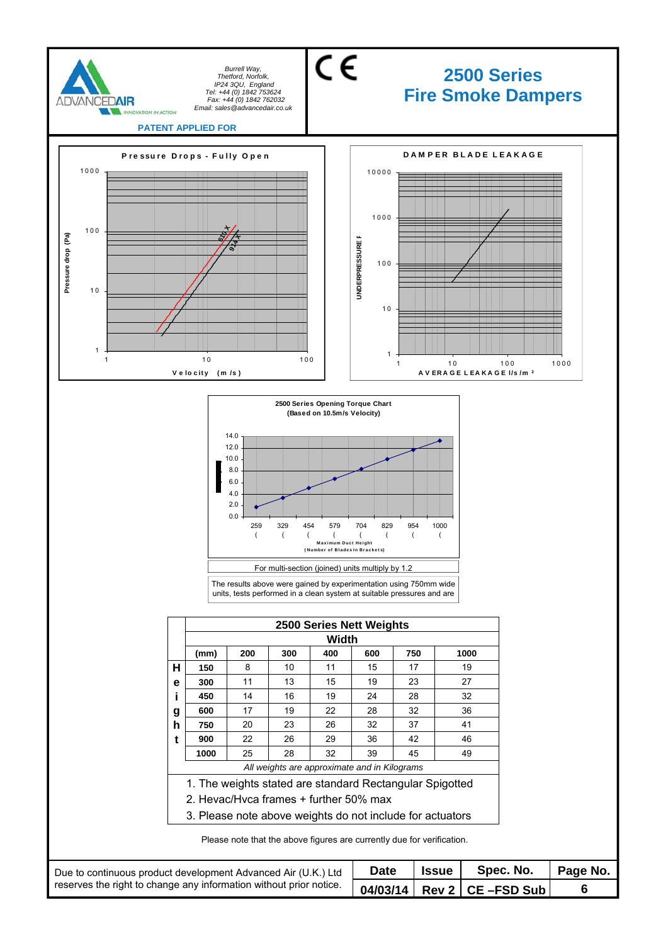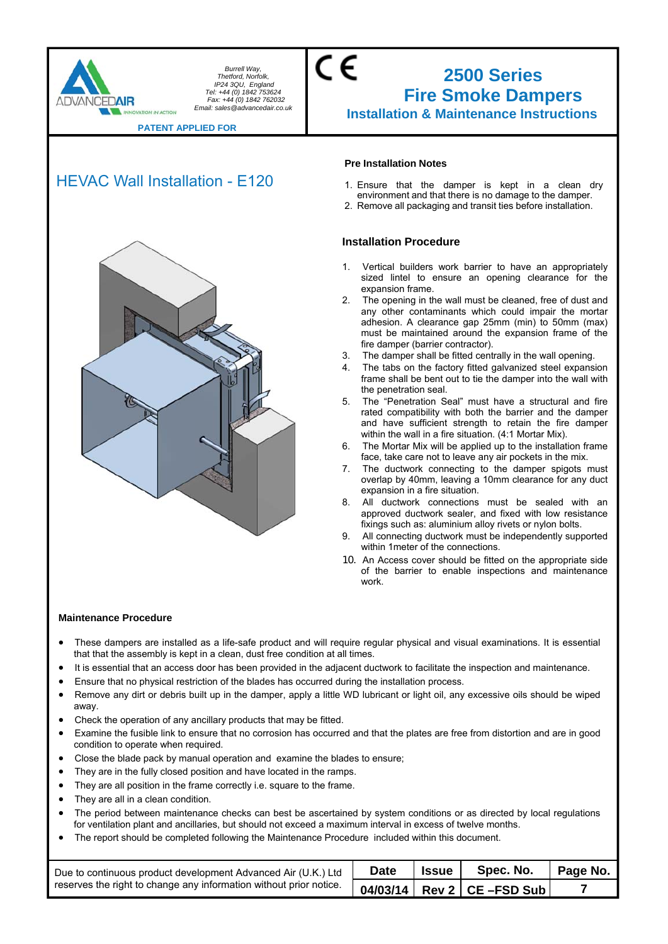

### CE **2500 Series Fire Smoke Dampers Installation & Maintenance Instructions**

**PATENT APPLIED FOR** 

## HEVAC Wall Installation - E120



#### **Pre Installation Notes**

- 1. Ensure that the damper is kept in a clean dry environment and that there is no damage to the damper.
- 2. Remove all packaging and transit ties before installation.

#### **Installation Procedure**

- 1. Vertical builders work barrier to have an appropriately sized lintel to ensure an opening clearance for the expansion frame.
- 2. The opening in the wall must be cleaned, free of dust and any other contaminants which could impair the mortar adhesion. A clearance gap 25mm (min) to 50mm (max) must be maintained around the expansion frame of the fire damper (barrier contractor).
- 3. The damper shall be fitted centrally in the wall opening.
- 4. The tabs on the factory fitted galvanized steel expansion frame shall be bent out to tie the damper into the wall with the penetration seal.
- 5. The "Penetration Seal" must have a structural and fire rated compatibility with both the barrier and the damper and have sufficient strength to retain the fire damper within the wall in a fire situation. (4:1 Mortar Mix).
- The Mortar Mix will be applied up to the installation frame face, take care not to leave any air pockets in the mix.
- 7. The ductwork connecting to the damper spigots must overlap by 40mm, leaving a 10mm clearance for any duct expansion in a fire situation.
- 8. All ductwork connections must be sealed with an approved ductwork sealer, and fixed with low resistance fixings such as: aluminium alloy rivets or nylon bolts.
- 9. All connecting ductwork must be independently supported within 1meter of the connections.
- 10. An Access cover should be fitted on the appropriate side of the barrier to enable inspections and maintenance work.

- These dampers are installed as a life-safe product and will require regular physical and visual examinations. It is essential that that the assembly is kept in a clean, dust free condition at all times.
- It is essential that an access door has been provided in the adjacent ductwork to facilitate the inspection and maintenance.
- Ensure that no physical restriction of the blades has occurred during the installation process.
- Remove any dirt or debris built up in the damper, apply a little WD lubricant or light oil, any excessive oils should be wiped away.
- Check the operation of any ancillary products that may be fitted.
- Examine the fusible link to ensure that no corrosion has occurred and that the plates are free from distortion and are in good condition to operate when required.
- Close the blade pack by manual operation and examine the blades to ensure;
- They are in the fully closed position and have located in the ramps.
- They are all position in the frame correctly i.e. square to the frame.
- They are all in a clean condition.
- The period between maintenance checks can best be ascertained by system conditions or as directed by local regulations for ventilation plant and ancillaries, but should not exceed a maximum interval in excess of twelve months.
- The report should be completed following the Maintenance Procedure included within this document.

| Due to continuous product development Advanced Air (U.K.) Ltd      | <b>Date</b> | <b>Issue</b> | Spec. No.                                              | Page No. |
|--------------------------------------------------------------------|-------------|--------------|--------------------------------------------------------|----------|
| reserves the right to change any information without prior notice. |             |              | $04/03/14$ Rev 2 CE – FSD Sub $\overline{\phantom{a}}$ |          |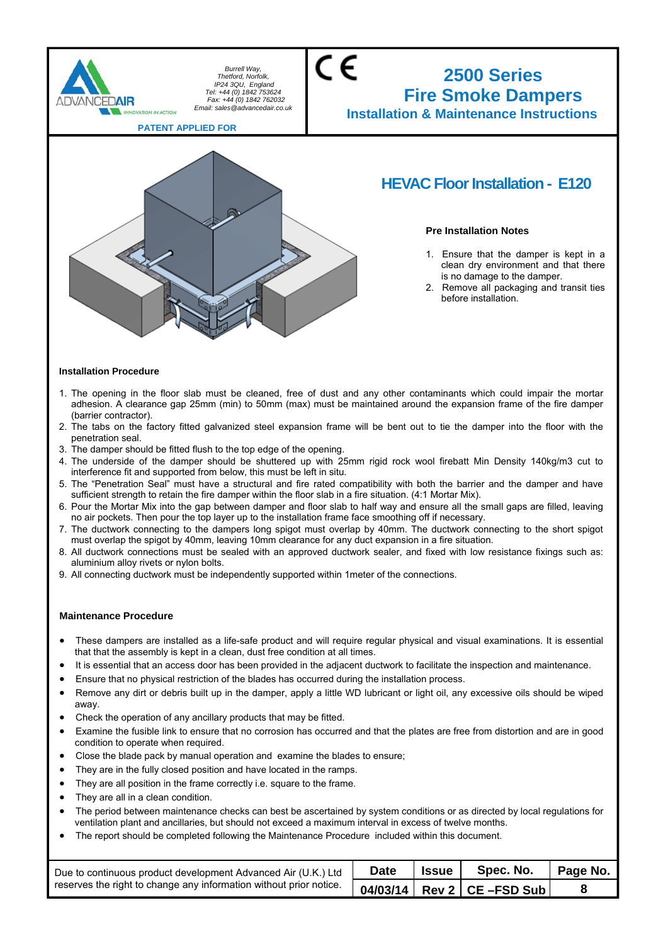

#### **Installation Procedure**

- 1. The opening in the floor slab must be cleaned, free of dust and any other contaminants which could impair the mortar adhesion. A clearance gap 25mm (min) to 50mm (max) must be maintained around the expansion frame of the fire damper (barrier contractor).
- 2. The tabs on the factory fitted galvanized steel expansion frame will be bent out to tie the damper into the floor with the penetration seal.
- 3. The damper should be fitted flush to the top edge of the opening.
- 4. The underside of the damper should be shuttered up with 25mm rigid rock wool firebatt Min Density 140kg/m3 cut to interference fit and supported from below, this must be left in situ.
- 5. The "Penetration Seal" must have a structural and fire rated compatibility with both the barrier and the damper and have sufficient strength to retain the fire damper within the floor slab in a fire situation. (4:1 Mortar Mix).
- 6. Pour the Mortar Mix into the gap between damper and floor slab to half way and ensure all the small gaps are filled, leaving no air pockets. Then pour the top layer up to the installation frame face smoothing off if necessary.
- 7. The ductwork connecting to the dampers long spigot must overlap by 40mm. The ductwork connecting to the short spigot must overlap the spigot by 40mm, leaving 10mm clearance for any duct expansion in a fire situation.
- 8. All ductwork connections must be sealed with an approved ductwork sealer, and fixed with low resistance fixings such as: aluminium alloy rivets or nylon bolts.
- 9. All connecting ductwork must be independently supported within 1meter of the connections.

- These dampers are installed as a life-safe product and will require regular physical and visual examinations. It is essential that that the assembly is kept in a clean, dust free condition at all times.
- It is essential that an access door has been provided in the adjacent ductwork to facilitate the inspection and maintenance.
- Ensure that no physical restriction of the blades has occurred during the installation process.
- Remove any dirt or debris built up in the damper, apply a little WD lubricant or light oil, any excessive oils should be wiped away.
- Check the operation of any ancillary products that may be fitted.
- Examine the fusible link to ensure that no corrosion has occurred and that the plates are free from distortion and are in good condition to operate when required.
- Close the blade pack by manual operation and examine the blades to ensure;
- They are in the fully closed position and have located in the ramps.
- They are all position in the frame correctly i.e. square to the frame.
- They are all in a clean condition.
- The period between maintenance checks can best be ascertained by system conditions or as directed by local regulations for ventilation plant and ancillaries, but should not exceed a maximum interval in excess of twelve months.
- The report should be completed following the Maintenance Procedure included within this document.

| Due to continuous product development Advanced Air (U.K.) Ltd      | <b>Date</b> | <b>Issue</b> I | Spec. No.                           | <sup>1</sup> Page No. |
|--------------------------------------------------------------------|-------------|----------------|-------------------------------------|-----------------------|
| reserves the right to change any information without prior notice. |             |                | $\vert$ 04/03/14 Rev 2 CE – FSD Sub |                       |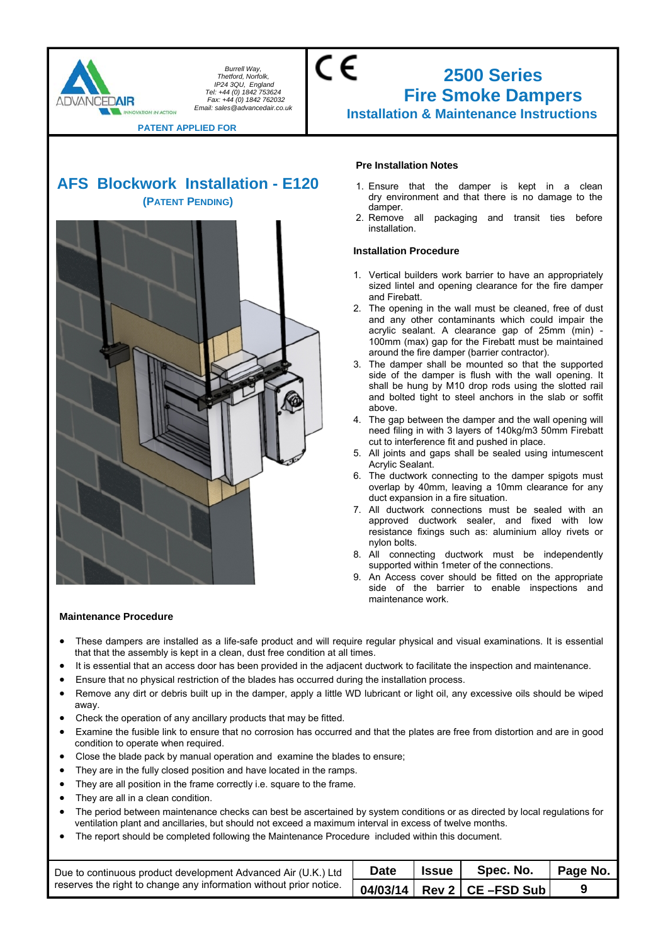

## CE **2500 Series Fire Smoke Dampers Installation & Maintenance Instructions**

**PATENT APPLIED FOR** 

## **AFS Blockwork Installation - E120 (PATENT PENDING)**



#### **Pre Installation Notes**

- 1. Ensure that the damper is kept in a clean dry environment and that there is no damage to the damper.
- 2. Remove all packaging and transit ties before installation.

#### **Installation Procedure**

- 1. Vertical builders work barrier to have an appropriately sized lintel and opening clearance for the fire damper and Firebatt.
- 2. The opening in the wall must be cleaned, free of dust and any other contaminants which could impair the acrylic sealant. A clearance gap of 25mm (min) - 100mm (max) gap for the Firebatt must be maintained around the fire damper (barrier contractor).
- 3. The damper shall be mounted so that the supported side of the damper is flush with the wall opening. It shall be hung by M10 drop rods using the slotted rail and bolted tight to steel anchors in the slab or soffit above.
- 4. The gap between the damper and the wall opening will need filing in with 3 layers of 140kg/m3 50mm Firebatt cut to interference fit and pushed in place.
- 5. All joints and gaps shall be sealed using intumescent Acrylic Sealant.
- 6. The ductwork connecting to the damper spigots must overlap by 40mm, leaving a 10mm clearance for any duct expansion in a fire situation.
- 7. All ductwork connections must be sealed with an approved ductwork sealer, and fixed with low resistance fixings such as: aluminium alloy rivets or nylon bolts.
- 8. All connecting ductwork must be independently supported within 1meter of the connections.
- 9. An Access cover should be fitted on the appropriate side of the barrier to enable inspections and maintenance work.

- These dampers are installed as a life-safe product and will require regular physical and visual examinations. It is essential that that the assembly is kept in a clean, dust free condition at all times.
- It is essential that an access door has been provided in the adjacent ductwork to facilitate the inspection and maintenance.
- Ensure that no physical restriction of the blades has occurred during the installation process.
- Remove any dirt or debris built up in the damper, apply a little WD lubricant or light oil, any excessive oils should be wiped away.
- Check the operation of any ancillary products that may be fitted.
- Examine the fusible link to ensure that no corrosion has occurred and that the plates are free from distortion and are in good condition to operate when required.
- Close the blade pack by manual operation and examine the blades to ensure;
- They are in the fully closed position and have located in the ramps.
- They are all position in the frame correctly i.e. square to the frame.
- They are all in a clean condition.
- The period between maintenance checks can best be ascertained by system conditions or as directed by local regulations for ventilation plant and ancillaries, but should not exceed a maximum interval in excess of twelve months.
- The report should be completed following the Maintenance Procedure included within this document.

| Due to continuous product development Advanced Air (U.K.) Ltd      | <b>Date</b> | <b>Issue</b> | Spec. No.                      | Page No. |
|--------------------------------------------------------------------|-------------|--------------|--------------------------------|----------|
| reserves the right to change any information without prior notice. |             |              | 04/03/14   Rev 2   CE -FSD Sub |          |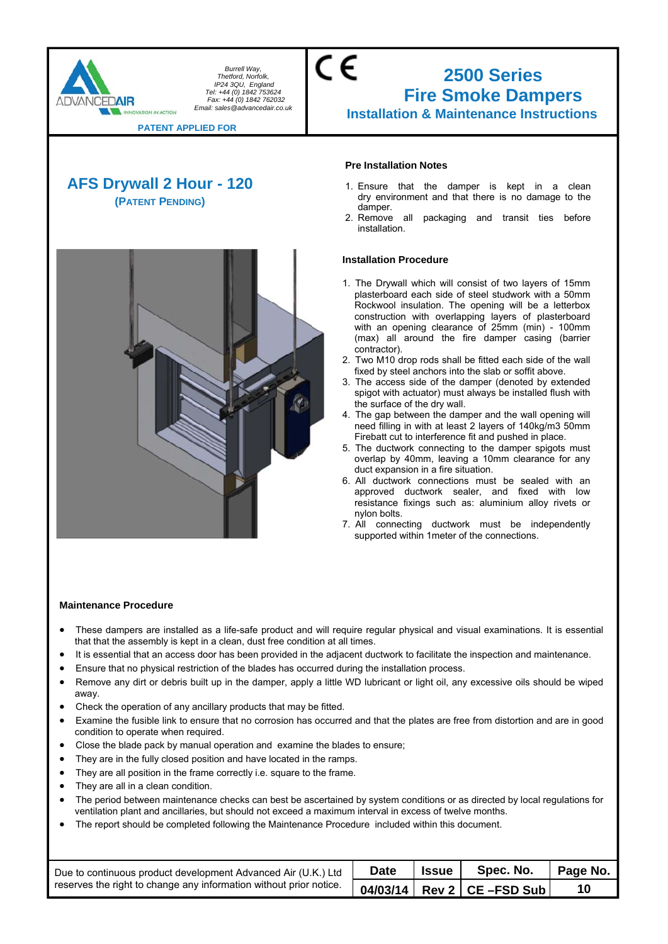

### CE **2500 Series Fire Smoke Dampers Installation & Maintenance Instructions**

**PATENT APPLIED FOR** 

## **AFS Drywall 2 Hour - 120 (PATENT PENDING)**



#### **Pre Installation Notes**

- 1. Ensure that the damper is kept in a clean dry environment and that there is no damage to the damper.
- 2. Remove all packaging and transit ties before installation.

#### **Installation Procedure**

- 1. The Drywall which will consist of two layers of 15mm plasterboard each side of steel studwork with a 50mm Rockwool insulation. The opening will be a letterbox construction with overlapping layers of plasterboard with an opening clearance of 25mm (min) - 100mm (max) all around the fire damper casing (barrier contractor).
- 2. Two M10 drop rods shall be fitted each side of the wall fixed by steel anchors into the slab or soffit above.
- 3. The access side of the damper (denoted by extended spigot with actuator) must always be installed flush with the surface of the dry wall.
- 4. The gap between the damper and the wall opening will need filling in with at least 2 layers of 140kg/m3 50mm Firebatt cut to interference fit and pushed in place.
- 5. The ductwork connecting to the damper spigots must overlap by 40mm, leaving a 10mm clearance for any duct expansion in a fire situation.
- 6. All ductwork connections must be sealed with an approved ductwork sealer, and fixed with low resistance fixings such as: aluminium alloy rivets or nylon bolts.
- 7. All connecting ductwork must be independently supported within 1meter of the connections.

- These dampers are installed as a life-safe product and will require regular physical and visual examinations. It is essential that that the assembly is kept in a clean, dust free condition at all times.
- It is essential that an access door has been provided in the adjacent ductwork to facilitate the inspection and maintenance.
- Ensure that no physical restriction of the blades has occurred during the installation process.
- Remove any dirt or debris built up in the damper, apply a little WD lubricant or light oil, any excessive oils should be wiped away.
- Check the operation of any ancillary products that may be fitted.
- Examine the fusible link to ensure that no corrosion has occurred and that the plates are free from distortion and are in good condition to operate when required.
- Close the blade pack by manual operation and examine the blades to ensure;
- They are in the fully closed position and have located in the ramps.
- They are all position in the frame correctly i.e. square to the frame.
- They are all in a clean condition.
- The period between maintenance checks can best be ascertained by system conditions or as directed by local regulations for ventilation plant and ancillaries, but should not exceed a maximum interval in excess of twelve months.
- The report should be completed following the Maintenance Procedure included within this document.

| Due to continuous product development Advanced Air (U.K.) Ltd      | <b>Date</b> | <b>Issue</b> | Spec. No.                    | Page No. |
|--------------------------------------------------------------------|-------------|--------------|------------------------------|----------|
| reserves the right to change any information without prior notice. |             |              | $04/03/14$ Rev 2 CE -FSD Sub |          |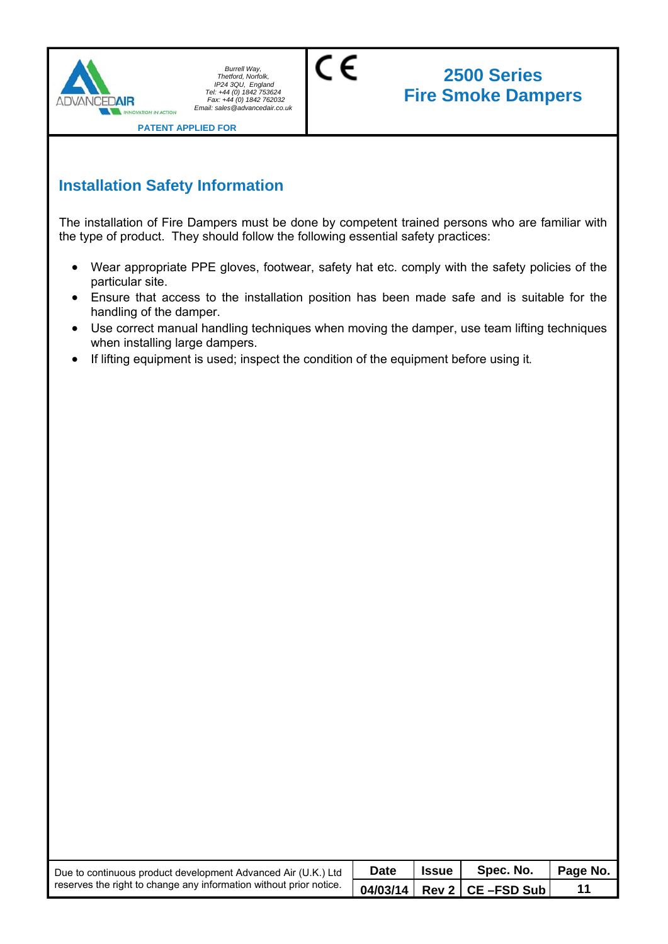

# **2500 Series Fire Smoke Dampers**

**PATENT APPLIED FOR** 

## **Installation Safety Information**

The installation of Fire Dampers must be done by competent trained persons who are familiar with the type of product. They should follow the following essential safety practices:

C€

- Wear appropriate PPE gloves, footwear, safety hat etc. comply with the safety policies of the particular site.
- Ensure that access to the installation position has been made safe and is suitable for the handling of the damper.
- Use correct manual handling techniques when moving the damper, use team lifting techniques when installing large dampers.
- If lifting equipment is used; inspect the condition of the equipment before using it.

| Due to continuous product development Advanced Air (U.K.) Ltd<br>reserves the right to change any information without prior notice. | <b>Date</b> | <b>Issue</b> | Spec. No.                                     | Page No. |
|-------------------------------------------------------------------------------------------------------------------------------------|-------------|--------------|-----------------------------------------------|----------|
|                                                                                                                                     |             |              | 04/03/14   Rev 2   CE –FSD Sub $\overline{ }$ |          |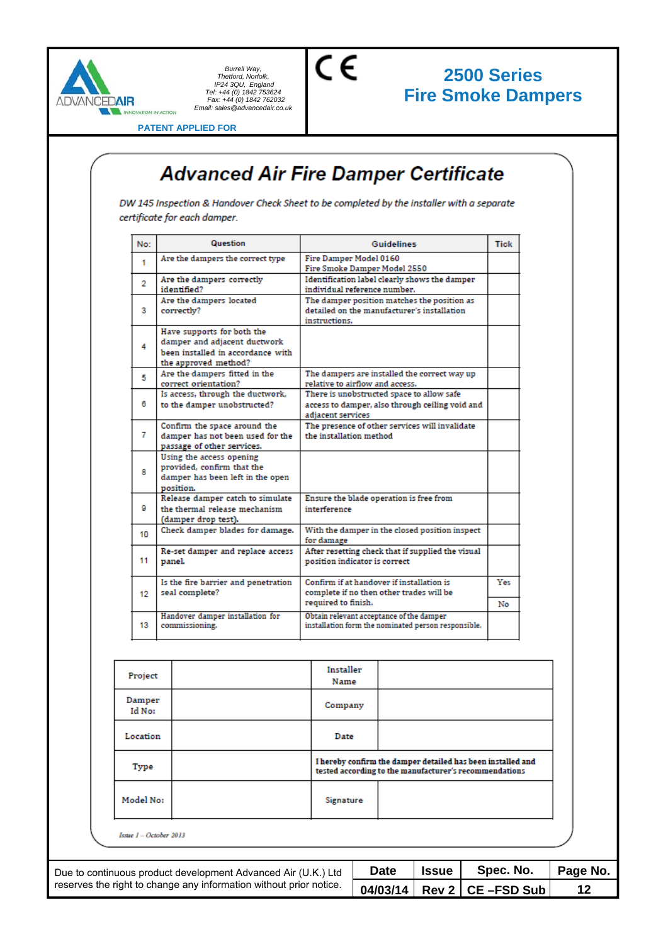

# **2500 Series Fire Smoke Dampers**

**PATENT APPLIED FOR** 

# **Advanced Air Fire Damper Certificate**

 $\epsilon$ 

DW 145 Inspection & Handover Check Sheet to be completed by the installer with a separate certificate for each damper.

| No:            | Question                                                                                                                | <b>Guidelines</b>                                                                                                 |           |  |  |
|----------------|-------------------------------------------------------------------------------------------------------------------------|-------------------------------------------------------------------------------------------------------------------|-----------|--|--|
| 1              | Are the dampers the correct type                                                                                        | Fire Damper Model 0160<br>Fire Smoke Damper Model 2550                                                            |           |  |  |
| $\overline{2}$ | Are the dampers correctly<br>identified?                                                                                | Identification label clearly shows the damper<br>individual reference number.                                     |           |  |  |
| 3              | Are the dampers located<br>correctly?                                                                                   | The damper position matches the position as<br>detailed on the manufacturer's installation<br>instructions.       |           |  |  |
| 4              | Have supports for both the<br>damper and adjacent ductwork<br>been installed in accordance with<br>the approved method? |                                                                                                                   |           |  |  |
| 5              | Are the dampers fitted in the<br>correct orientation?                                                                   | The dampers are installed the correct way up<br>relative to airflow and access.                                   |           |  |  |
| 6              | Is access, through the ductwork,<br>to the damper unobstructed?                                                         | There is unobstructed space to allow safe<br>access to damper, also through ceiling void and<br>adiacent services |           |  |  |
| 7              | Confirm the space around the<br>damper has not been used for the<br>passage of other services.                          | The presence of other services will invalidate<br>the installation method                                         |           |  |  |
| g              | Using the access opening<br>provided, confirm that the<br>damper has been left in the open<br>position.                 |                                                                                                                   |           |  |  |
| o              | Release damper catch to simulate<br>the thermal release mechanism<br>(damper drop test).                                | Ensure the blade operation is free from<br>interference                                                           |           |  |  |
| 10             | Check damper blades for damage.                                                                                         | With the damper in the closed position inspect<br>for damage                                                      |           |  |  |
| 11             | Re-set damper and replace access<br>panel.                                                                              | After resetting check that if supplied the visual<br>position indicator is correct                                |           |  |  |
| 12             | Is the fire barrier and penetration<br>seal complete?                                                                   | Confirm if at handover if installation is<br>complete if no then other trades will be<br>required to finish.      | Yes<br>No |  |  |
| 13             | Handover damper installation for<br>commissioning.                                                                      | Obtain relevant acceptance of the damper<br>installation form the nominated person responsible.                   |           |  |  |

|                                                                    | Project                |  | Installer<br>Name |                                                                                                                       |             |                      |           |          |
|--------------------------------------------------------------------|------------------------|--|-------------------|-----------------------------------------------------------------------------------------------------------------------|-------------|----------------------|-----------|----------|
|                                                                    | Damper<br>Id No:       |  | Company           |                                                                                                                       |             |                      |           |          |
|                                                                    | Location               |  | Date              |                                                                                                                       |             |                      |           |          |
|                                                                    | Type                   |  |                   | I hereby confirm the damper detailed has been installed and<br>tested according to the manufacturer's recommendations |             |                      |           |          |
|                                                                    | Model No:              |  | Signature         |                                                                                                                       |             |                      |           |          |
|                                                                    | Issue 1 - October 2013 |  |                   |                                                                                                                       |             |                      |           |          |
| Due to continuous product development Advanced Air (U.K.) Ltd      |                        |  |                   |                                                                                                                       | <b>Date</b> | <b>Issue</b>         | Spec. No. | Page No. |
| reserves the right to change any information without prior notice. |                        |  |                   | 04/03/14                                                                                                              |             | Rev 2   CE - FSD Sub | 12        |          |